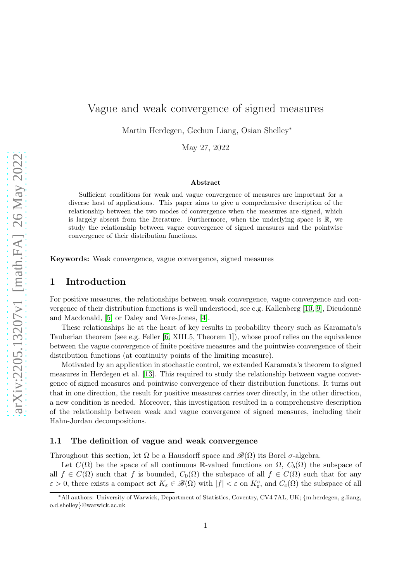# Vague and weak convergence of signed measures

Martin Herdegen, Gechun Liang, Osian Shelley<sup>∗</sup>

May 27, 2022

#### Abstract

Sufficient conditions for weak and vague convergence of measures are important for a diverse host of applications. This paper aims to give a comprehensive description of the relationship between the two modes of convergence when the measures are signed, which is largely absent from the literature. Furthermore, when the underlying space is R, we study the relationship between vague convergence of signed measures and the pointwise convergence of their distribution functions.

Keywords: Weak convergence, vague convergence, signed measures

### 1 Introduction

For positive measures, the relationships between weak convergence, vague convergence and convergence of their distribution functions is well understood; see e.g. Kallenberg [\[10,](#page-14-0) [9\]](#page-14-1), Dieudonné and Macdonald, [\[5\]](#page-14-2) or Daley and Vere-Jones, [\[4\]](#page-14-3).

These relationships lie at the heart of key results in probability theory such as Karamata's Tauberian theorem (see e.g. Feller [\[6,](#page-14-4) XIII.5, Theorem 1]), whose proof relies on the equivalence between the vague convergence of finite positive measures and the pointwise convergence of their distribution functions (at continuity points of the limiting measure).

Motivated by an application in stochastic control, we extended Karamata's theorem to signed measures in Herdegen et al. [\[13\]](#page-14-5). This required to study the relationship between vague convergence of signed measures and pointwise convergence of their distribution functions. It turns out that in one direction, the result for positive measures carries over directly, in the other direction, a new condition is needed. Moreover, this investigation resulted in a comprehensive description of the relationship between weak and vague convergence of signed measures, including their Hahn-Jordan decompositions.

#### 1.1 The definition of vague and weak convergence

Throughout this section, let  $\Omega$  be a Hausdorff space and  $\mathscr{B}(\Omega)$  its Borel  $\sigma$ -algebra.

Let  $C(\Omega)$  be the space of all continuous R-valued functions on  $\Omega$ ,  $C_b(\Omega)$  the subspace of all  $f \in C(\Omega)$  such that f is bounded,  $C_0(\Omega)$  the subspace of all  $f \in C(\Omega)$  such that for any  $\varepsilon > 0$ , there exists a compact set  $K_{\varepsilon} \in \mathscr{B}(\Omega)$  with  $|f| < \varepsilon$  on  $K_{\varepsilon}^c$ , and  $C_c(\Omega)$  the subspace of all

<sup>∗</sup>All authors: University of Warwick, Department of Statistics, Coventry, CV4 7AL, UK; {m.herdegen, g.liang, o.d.shelley}@warwick.ac.uk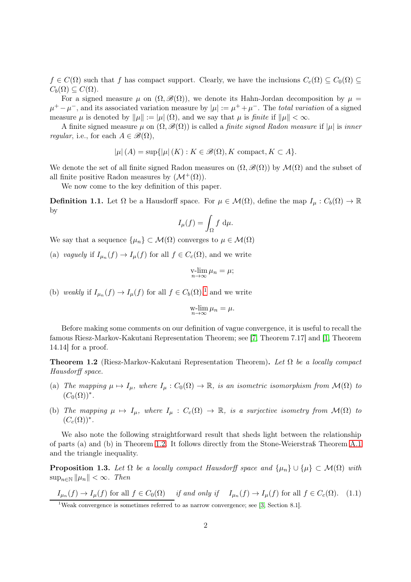$f \in C(\Omega)$  such that f has compact support. Clearly, we have the inclusions  $C_c(\Omega) \subseteq C_0(\Omega) \subseteq$  $C_h(\Omega) \subseteq C(\Omega)$ .

For a signed measure  $\mu$  on  $(\Omega, \mathscr{B}(\Omega))$ , we denote its Hahn-Jordan decomposition by  $\mu =$  $\mu^+ - \mu^-$ , and its associated variation measure by  $|\mu| := \mu^+ + \mu^-$ . The *total variation* of a signed measure  $\mu$  is denoted by  $\|\mu\| := |\mu(\Omega)|$ , and we say that  $\mu$  is finite if  $\|\mu\| < \infty$ .

A finite signed measure  $\mu$  on  $(\Omega, \mathcal{B}(\Omega))$  is called a *finite signed Radon measure* if  $|\mu|$  is *inner regular*, i.e., for each  $A \in \mathscr{B}(\Omega)$ ,

$$
|\mu|(A) = \sup\{|\mu|(K) : K \in \mathcal{B}(\Omega), K \text{ compact}, K \subset A\}.
$$

We denote the set of all finite signed Radon measures on  $(\Omega, \mathcal{B}(\Omega))$  by  $\mathcal{M}(\Omega)$  and the subset of all finite positive Radon measures by  $(\mathcal{M}^+(\Omega)).$ 

We now come to the key definition of this paper.

**Definition 1.1.** Let  $\Omega$  be a Hausdorff space. For  $\mu \in \mathcal{M}(\Omega)$ , define the map  $I_{\mu}: C_b(\Omega) \to \mathbb{R}$ by

$$
I_{\mu}(f) = \int_{\Omega} f \, \mathrm{d}\mu.
$$

We say that a sequence  $\{\mu_n\} \subset \mathcal{M}(\Omega)$  converges to  $\mu \in \mathcal{M}(\Omega)$ 

(a) vaguely if  $I_{\mu_n}(f) \to I_{\mu}(f)$  for all  $f \in C_c(\Omega)$ , and we write

$$
\operatorname*{v-lim}_{n\to\infty}\mu_n=\mu;
$$

(b) weakly if  $I_{\mu_n}(f) \to I_{\mu}(f)$  for all  $f \in C_b(\Omega),^1$  $f \in C_b(\Omega),^1$  and we write

$$
\operatorname*{w-lim}_{n\to\infty}\mu_n=\mu.
$$

Before making some comments on our definition of vague convergence, it is useful to recall the famous Riesz-Markov-Kakutani Representation Theorem; see [\[7,](#page-14-6) Theorem 7.17] and [\[1,](#page-14-7) Theorem 14.14] for a proof.

<span id="page-1-1"></span>**Theorem 1.2** (Riesz-Markov-Kakutani Representation Theorem). Let  $\Omega$  be a locally compact Hausdorff space.

- (a) The mapping  $\mu \mapsto I_{\mu}$ , where  $I_{\mu}: C_0(\Omega) \to \mathbb{R}$ , is an isometric isomorphism from  $\mathcal{M}(\Omega)$  to  $(C_0(\Omega))^*$ .
- (b) The mapping  $\mu \mapsto I_{\mu}$ , where  $I_{\mu}: C_c(\Omega) \to \mathbb{R}$ , is a surjective isometry from  $\mathcal{M}(\Omega)$  to  $(C_c(\Omega))^*$ .

We also note the following straightforward result that sheds light between the relationship of parts (a) and (b) in Theorem [1.2.](#page-1-1) It follows directly from the Stone-Weierstraß Theorem [A.1](#page-11-0) and the triangle inequality.

<span id="page-1-2"></span>**Proposition 1.3.** Let  $\Omega$  be a locally compact Hausdorff space and  $\{\mu_n\} \cup \{\mu\} \subset \mathcal{M}(\Omega)$  with  $\sup_{n\in\mathbb{N}}\|\mu_n\| < \infty$ . Then

 $I_{\mu_n}(f) \to I_{\mu}(f)$  for all  $f \in C_0(\Omega)$  if and only if  $I_{\mu_n}(f) \to I_{\mu}(f)$  for all  $f \in C_c(\Omega)$ . (1.1)

<span id="page-1-0"></span><sup>&</sup>lt;sup>1</sup>Weak convergence is sometimes referred to as narrow convergence; see [\[3,](#page-14-8) Section 8.1].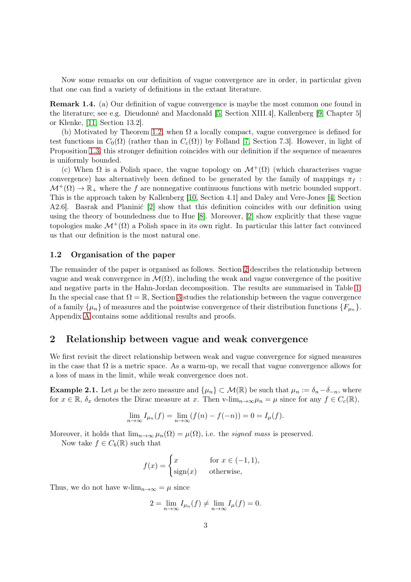Now some remarks on our definition of vague convergence are in order, in particular given that one can find a variety of definitions in the extant literature.

Remark 1.4. (a) Our definition of vague convergence is maybe the most common one found in the literature; see e.g. Dieudonné and Macdonald [\[5,](#page-14-2) Section XIII.4], Kallenberg [\[9,](#page-14-1) Chapter 5] or Klenke, [\[11,](#page-14-9) Section 13.2].

(b) Motivated by Theorem [1.2,](#page-1-1) when  $\Omega$  a locally compact, vague convergence is defined for test functions in  $C_0(\Omega)$  (rather than in  $C_c(\Omega)$ ) by Folland [\[7,](#page-14-6) Section 7.3]. However, in light of Proposition [1.3,](#page-1-2) this stronger definition coincides with our definition if the sequence of measures is uniformly bounded.

(c) When  $\Omega$  is a Polish space, the vague topology on  $\mathcal{M}^+(\Omega)$  (which characterises vague convergence) has alternatively been defined to be generated by the family of mappings  $\pi_f$ :  $\mathcal{M}^+(\Omega) \to \mathbb{R}_+$  where the f are nonnegative continuous functions with metric bounded support. This is the approach taken by Kallenberg [\[10,](#page-14-0) Section 4.1] and Daley and Vere-Jones [\[4,](#page-14-3) Section A2.6]. Basrak and Planinić [\[2\]](#page-14-10) show that this definition coincides with our definition using using the theory of boundedness due to Hue [\[8\]](#page-14-11). Moreover, [\[2\]](#page-14-10) show explicitly that these vague topologies make  $\mathcal{M}^+(\Omega)$  a Polish space in its own right. In particular this latter fact convinced us that our definition is the most natural one.

#### 1.2 Organisation of the paper

The remainder of the paper is organised as follows. Section [2](#page-2-0) describes the relationship between vague and weak convergence in  $\mathcal{M}(\Omega)$ , including the weak and vague convergence of the positive and negative parts in the Hahn-Jordan decomposition. The results are summarised in Table [1.](#page-5-0) In the special case that  $\Omega = \mathbb{R}$ , Section [3](#page-5-1) studies the relationship between the vague convergence of a family  $\{\mu_n\}$  of measures and the pointwise convergence of their distribution functions  $\{F_{\mu_n}\}.$ Appendix [A](#page-11-1) contains some additional results and proofs.

### <span id="page-2-0"></span>2 Relationship between vague and weak convergence

We first revisit the direct relationship between weak and vague convergence for signed measures in the case that  $\Omega$  is a metric space. As a warm-up, we recall that vague convergence allows for a loss of mass in the limit, while weak convergence does not.

<span id="page-2-1"></span>**Example 2.1.** Let  $\mu$  be the zero measure and  $\{\mu_n\} \subset \mathcal{M}(\mathbb{R})$  be such that  $\mu_n := \delta_n - \delta_{-n}$ , where for  $x \in \mathbb{R}$ ,  $\delta_x$  denotes the Dirac measure at x. Then v-lim<sub>n→∞</sub> $\mu_n = \mu$  since for any  $f \in C_c(\mathbb{R})$ ,

$$
\lim_{n \to \infty} I_{\mu_n}(f) = \lim_{n \to \infty} (f(n) - f(-n)) = 0 = I_{\mu}(f).
$$

Moreover, it holds that  $\lim_{n\to\infty} \mu_n(\Omega) = \mu(\Omega)$ , i.e. the *signed mass* is preserved.

Now take  $f \in C_b(\mathbb{R})$  such that

$$
f(x) = \begin{cases} x & \text{for } x \in (-1, 1), \\ \text{sign}(x) & \text{otherwise,} \end{cases}
$$

Thus, we do not have w-lim<sub>n→∞</sub> =  $\mu$  since

$$
2 = \lim_{n \to \infty} I_{\mu_n}(f) \neq \lim_{n \to \infty} I_{\mu}(f) = 0.
$$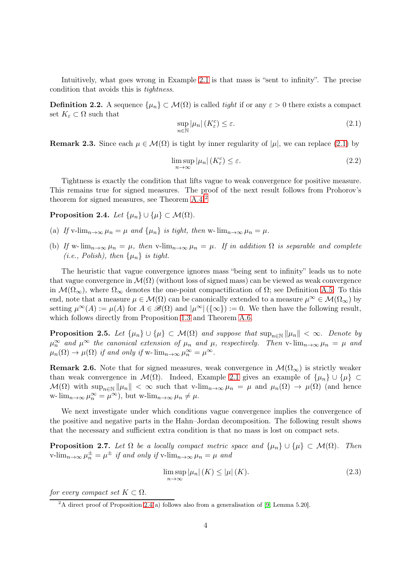Intuitively, what goes wrong in Example [2.1](#page-2-1) is that mass is "sent to infinity". The precise condition that avoids this is tightness.

**Definition 2.2.** A sequence  $\{\mu_n\} \subset \mathcal{M}(\Omega)$  is called *tight* if or any  $\varepsilon > 0$  there exists a compact set  $K_{\varepsilon} \subset \Omega$  such that

<span id="page-3-0"></span>
$$
\sup_{n \in \mathbb{N}} |\mu_n| \left( K_\varepsilon^c \right) \le \varepsilon. \tag{2.1}
$$

**Remark 2.3.** Since each  $\mu \in \mathcal{M}(\Omega)$  is tight by inner regularity of  $|\mu|$ , we can replace [\(2.1\)](#page-3-0) by

$$
\limsup_{n \to \infty} |\mu_n| \left( K_{\varepsilon}^c \right) \le \varepsilon. \tag{2.2}
$$

Tightness is exactly the condition that lifts vague to weak convergence for positive measure. This remains true for signed measures. The proof of the next result follows from Prohorov's theorem for signed measures, see Theorem [A.4.](#page-13-0)[2](#page-3-1)

<span id="page-3-2"></span>Proposition 2.4. Let  $\{\mu_n\} \cup \{\mu\} \subset \mathcal{M}(\Omega)$ .

- (a) If v-lim $_{n\to\infty}$   $\mu_n = \mu$  and  $\{\mu_n\}$  is tight, then w- lim $_{n\to\infty}$   $\mu_n = \mu$ .
- (b) If w- $\lim_{n\to\infty}\mu_n = \mu$ , then v- $\lim_{n\to\infty}\mu_n = \mu$ . If in addition  $\Omega$  is separable and complete (*i.e.*, Polish), then  $\{\mu_n\}$  is tight.

The heuristic that vague convergence ignores mass "being sent to infinity" leads us to note that vague convergence in  $\mathcal{M}(\Omega)$  (without loss of signed mass) can be viewed as weak convergence in  $\mathcal{M}(\Omega_{\infty})$ , where  $\Omega_{\infty}$  denotes the one-point compactification of  $\Omega$ ; see Definition [A.5.](#page-13-1) To this end, note that a measure  $\mu \in \mathcal{M}(\Omega)$  can be canonically extended to a measure  $\mu^{\infty} \in \mathcal{M}(\Omega_{\infty})$  by setting  $\mu^{\infty}(A) := \mu(A)$  for  $A \in \mathscr{B}(\Omega)$  and  $|\mu^{\infty}| (\{\infty\}) := 0$ . We then have the following result, which follows directly from Proposition [1.3](#page-1-2) and Theorem [A.6.](#page-13-2)

<span id="page-3-5"></span>**Proposition 2.5.** Let  $\{\mu_n\} \cup \{\mu\} \subset \mathcal{M}(\Omega)$  and suppose that  $\sup_{n \in \mathbb{N}} ||\mu_n|| < \infty$ . Denote by  $\mu_n^{\infty}$  and  $\mu^{\infty}$  the canonical extension of  $\mu_n$  and  $\mu$ , respectively. Then v- $\lim_{n\to\infty}\mu_n = \mu$  and  $\mu_n(\Omega) \to \mu(\Omega)$  if and only if w- $\lim_{n \to \infty} \mu_n^{\infty} = \mu^{\infty}$ .

**Remark 2.6.** Note that for signed measures, weak convergence in  $\mathcal{M}(\Omega_{\infty})$  is strictly weaker than weak convergence in  $\mathcal{M}(\Omega)$ . Indeed, Example [2.1](#page-2-1) gives an example of  $\{\mu_n\} \cup \{\mu\} \subset$  $\mathcal{M}(\Omega)$  with  $\sup_{n\in\mathbb{N}}\|\mu_n\| < \infty$  such that v-lim<sub>n→∞</sub>  $\mu_n = \mu$  and  $\mu_n(\Omega) \to \mu(\Omega)$  (and hence w- $\lim_{n\to\infty}\mu_n^{\infty}=\mu^{\infty}$ , but w- $\lim_{n\to\infty}\mu_n\neq\mu$ .

We next investigate under which conditions vague convergence implies the convergence of the positive and negative parts in the Hahn–Jordan decomposition. The following result shows that the necessary and sufficient extra condition is that no mass is lost on compact sets.

<span id="page-3-4"></span>**Proposition 2.7.** Let  $\Omega$  be a locally compact metric space and  $\{\mu_n\} \cup \{\mu\} \subset \mathcal{M}(\Omega)$ . Then v-lim<sub>n→∞</sub>  $\mu_n^{\pm} = \mu^{\pm}$  if and only if v-lim<sub>n→∞</sub>  $\mu_n = \mu$  and

<span id="page-3-3"></span>
$$
\limsup_{n \to \infty} |\mu_n| \left( K \right) \le |\mu| \left( K \right). \tag{2.3}
$$

for every compact set  $K \subset \Omega$ .

<span id="page-3-1"></span><sup>&</sup>lt;sup>2</sup>A direct proof of Proposition [2.4\(](#page-3-2)a) follows also from a generalisation of [\[9,](#page-14-1) Lemma 5.20].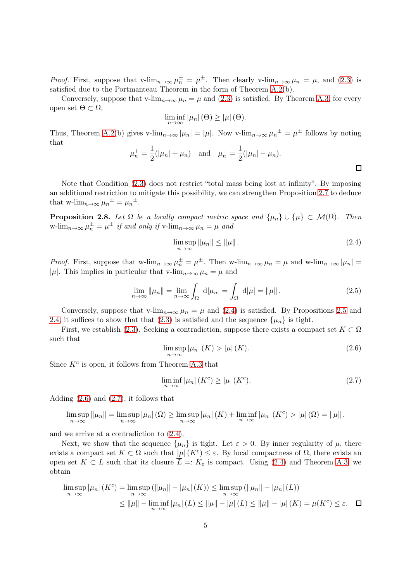*Proof.* First, suppose that v-lim<sub>n→∞</sub>  $\mu_n^{\pm} = \mu^{\pm}$ . Then clearly v-lim<sub>n→∞</sub>  $\mu_n = \mu$ , and [\(2.3\)](#page-3-3) is satisfied due to the Portmanteau Theorem in the form of Theorem [A.2\(](#page-11-2)b).

Conversely, suppose that v-lim<sub>n→∞</sub>  $\mu_n = \mu$  and [\(2.3\)](#page-3-3) is satisfied. By Theorem [A.3,](#page-12-0) for every open set Θ ⊂ Ω,

$$
\liminf_{n\to\infty}|\mu_n|\left(\Theta\right)\geq|\mu|\left(\Theta\right).
$$

Thus, Theorem [A.2\(](#page-11-2)b) gives v-lim<sub>n→∞</sub>  $|\mu_n| = |\mu|$ . Now v-lim<sub>n→∞</sub>  $\mu_n^{\pm} = \mu^{\pm}$  follows by noting that

$$
\mu_n^+ = \frac{1}{2}(|\mu_n| + \mu_n)
$$
 and  $\mu_n^- = \frac{1}{2}(|\mu_n| - \mu_n)$ .

Note that Condition [\(2.3\)](#page-3-3) does not restrict "total mass being lost at infinity". By imposing an additional restriction to mitigate this possibility, we can strengthen Proposition [2.7](#page-3-4) to deduce that w-lim<sub>n→∞</sub>  $\mu_n^{\pm} = \mu_n^{\pm}$ .

<span id="page-4-3"></span>**Proposition 2.8.** Let  $\Omega$  be a locally compact metric space and  $\{\mu_n\} \cup \{\mu\} \subset \mathcal{M}(\Omega)$ . Then w-lim<sub>n→∞</sub>  $\mu_n^{\pm} = \mu^{\pm}$  if and only if v-lim<sub>n→∞</sub>  $\mu_n = \mu$  and

<span id="page-4-0"></span>
$$
\limsup_{n \to \infty} \|\mu_n\| \le \|\mu\|.
$$
\n(2.4)

*Proof.* First, suppose that w-lim<sub>n→∞</sub>  $\mu_n^{\pm} = \mu^{\pm}$ . Then w-lim<sub>n→∞</sub>  $\mu_n = \mu$  and w-lim<sub>n→∞</sub>  $|\mu_n|$  = |µ|. This implies in particular that v-lim<sub>n→∞</sub>  $\mu_n = \mu$  and

$$
\lim_{n \to \infty} ||\mu_n|| = \lim_{n \to \infty} \int_{\Omega} d|\mu_n| = \int_{\Omega} d|\mu| = ||\mu||.
$$
 (2.5)

Conversely, suppose that v-lim<sub>n→∞</sub>  $\mu_n = \mu$  and [\(2.4\)](#page-4-0) is satisfied. By Propositions [2.5](#page-3-5) and [2.4,](#page-3-2) it suffices to show that that [\(2.3\)](#page-3-3) is satisfied and the sequence  $\{\mu_n\}$  is tight.

First, we establish [\(2.3\)](#page-3-3). Seeking a contradiction, suppose there exists a compact set  $K \subset \Omega$ such that

<span id="page-4-1"></span>
$$
\limsup_{n \to \infty} |\mu_n| \left( K \right) > |\mu| \left( K \right). \tag{2.6}
$$

Since  $K^c$  is open, it follows from Theorem [A.3](#page-12-0) that

<span id="page-4-2"></span>
$$
\liminf_{n \to \infty} |\mu_n| \left( K^c \right) \ge |\mu| \left( K^c \right). \tag{2.7}
$$

Adding [\(2.6\)](#page-4-1) and [\(2.7\)](#page-4-2), it follows that

$$
\limsup_{n\to\infty} \|\mu_n\| = \limsup_{n\to\infty} |\mu_n|(\Omega) \ge \limsup_{n\to\infty} |\mu_n|(\Lambda) + \liminf_{n\to\infty} |\mu_n|(\Lambda^c) > |\mu|(\Omega) = \|\mu\|,
$$

and we arrive at a contradiction to [\(2.4\)](#page-4-0).

Next, we show that the sequence  $\{\mu_n\}$  is tight. Let  $\varepsilon > 0$ . By inner regularity of  $\mu$ , there exists a compact set  $K \subset \Omega$  such that  $|\mu|(K^c) \leq \varepsilon$ . By local compactness of  $\Omega$ , there exists an open set  $K \subset L$  such that its closure  $\overline{L} =: K_{\varepsilon}$  is compact. Using [\(2.4\)](#page-4-0) and Theorem [A.3,](#page-12-0) we obtain

$$
\limsup_{n \to \infty} |\mu_n| (K^c) = \limsup_{n \to \infty} (||\mu_n|| - |\mu_n| (K)) \le \limsup_{n \to \infty} (||\mu_n|| - |\mu_n| (L))
$$
  

$$
\le ||\mu|| - \liminf_{n \to \infty} |\mu_n| (L) \le ||\mu|| - |\mu| (L) \le ||\mu|| - |\mu| (K) = \mu(K^c) \le \varepsilon. \quad \Box
$$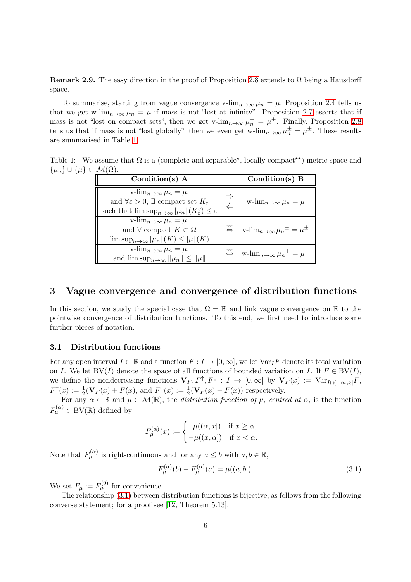Remark 2.9. The easy direction in the proof of Proposition [2.8](#page-4-3) extends to  $\Omega$  being a Hausdorff space.

To summarise, starting from vague convergence v-lim<sub>n→∞</sub>  $\mu_n = \mu$ , Proposition [2.4](#page-3-2) tells us that we get w-lim<sub>n→∞</sub>  $\mu_n = \mu$  if mass is not "lost at infinity". Proposition [2.7](#page-3-4) asserts that if mass is not "lost on compact sets", then we get v-lim<sub>n→∞</sub>  $\mu_n^{\pm} = \mu^{\pm}$ . Finally, Proposition [2.8](#page-4-3) tells us that if mass is not "lost globally", then we even get w-lim<sub>n→∞</sub>  $\mu_n^{\pm} = \mu^{\pm}$ . These results are summarised in Table [1.](#page-5-0)

Table 1: We assume that  $\Omega$  is a (complete and separable<sup>\*</sup>, locally compact<sup>\*\*</sup>) metric space and  $\{\mu_n\} \cup \{\mu\} \subset \mathcal{M}(\Omega).$ 

<span id="page-5-0"></span>

| Condition(s) $A$                                                                                                                                                                                                              |   | Condition(s) $B$                                                                                                     |
|-------------------------------------------------------------------------------------------------------------------------------------------------------------------------------------------------------------------------------|---|----------------------------------------------------------------------------------------------------------------------|
| v-lim <sub>n<math>\rightarrow \infty</math></sub> $\mu_n = \mu$ ,<br>and $\forall \varepsilon > 0$ , $\exists$ compact set $K_{\varepsilon}$<br>such that $\limsup_{n\to\infty}  \mu_n  (K_{\varepsilon}^c) \leq \varepsilon$ | ≱ | w- $\lim_{n\to\infty}\mu_n=\mu$                                                                                      |
| v- $\lim_{n\to\infty}\mu_n=\mu,$<br>and $\forall$ compact $K \subset \Omega$<br>$\limsup_{n\to\infty}$ $ \mu_n (K) \leq  \mu (K)$                                                                                             | 荟 | v-lim <sub>n<math>\rightarrow \infty</math></sub> $\mu_n^{\pm} = \mu^{\pm}$                                          |
| v-lim <sub>n<math>\rightarrow \infty</math></sub> $\mu_n = \mu$ ,<br>and $\limsup_{n\to\infty}$ $\ \mu_n\  \le \ \mu\ $                                                                                                       |   | $\stackrel{\star\star}{\Leftrightarrow}$ w-lim <sub>n<math>\rightarrow \infty</math></sub> $\mu_n^{\pm} = \mu^{\pm}$ |

### <span id="page-5-1"></span>3 Vague convergence and convergence of distribution functions

In this section, we study the special case that  $\Omega = \mathbb{R}$  and link vague convergence on  $\mathbb{R}$  to the pointwise convergence of distribution functions. To this end, we first need to introduce some further pieces of notation.

### 3.1 Distribution functions

For any open interval  $I \subset \mathbb{R}$  and a function  $F : I \to [0,\infty]$ , we let  $\text{Var}_I F$  denote its total variation on I. We let  $BV(I)$  denote the space of all functions of bounded variation on I. If  $F \in BV(I)$ , we define the nondecreasing functions  $V_F, F^{\uparrow}, F^{\downarrow} : I \to [0, \infty]$  by  $V_F(x) := \text{Var}_{I \cap (-\infty, x]} F$ ,  $F^{\uparrow}(x) := \frac{1}{2}(\mathbf{V}_F(x) + F(x))$ , and  $F^{\downarrow}(x) := \frac{1}{2}(\mathbf{V}_F(x) - F(x))$  respectively.

For any  $\alpha \in \mathbb{R}$  and  $\mu \in \mathcal{M}(\mathbb{R})$ , the distribution function of  $\mu$ , centred at  $\alpha$ , is the function  $F_{\mu}^{(\alpha)} \in BV(\mathbb{R})$  defined by

$$
F_{\mu}^{(\alpha)}(x) := \begin{cases} \mu((\alpha, x]) & \text{if } x \ge \alpha, \\ -\mu((x, \alpha]) & \text{if } x < \alpha. \end{cases}
$$

Note that  $F_{\mu}^{(\alpha)}$  is right-continuous and for any  $a \leq b$  with  $a, b \in \mathbb{R}$ ,

<span id="page-5-2"></span>
$$
F_{\mu}^{(\alpha)}(b) - F_{\mu}^{(\alpha)}(a) = \mu((a, b]).
$$
\n(3.1)

We set  $F_{\mu} := F_{\mu}^{(0)}$  for convenience.

<span id="page-5-3"></span>The relationship [\(3.1\)](#page-5-2) between distribution functions is bijective, as follows from the following converse statement; for a proof see [\[12,](#page-14-12) Theorem 5.13].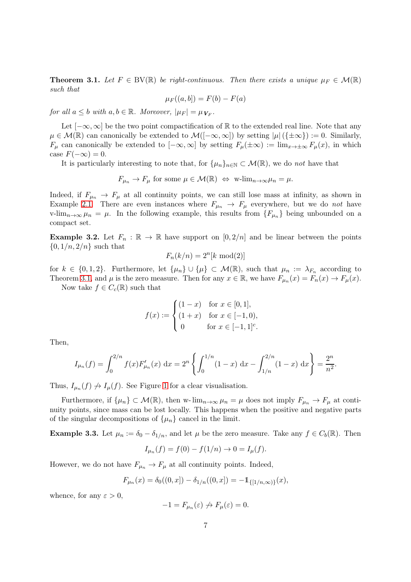**Theorem 3.1.** Let  $F \in BV(\mathbb{R})$  be right-continuous. Then there exists a unique  $\mu_F \in \mathcal{M}(\mathbb{R})$ such that

$$
\mu_F((a, b]) = F(b) - F(a)
$$

for all  $a \leq b$  with  $a, b \in \mathbb{R}$ . Moreover,  $|\mu_F| = \mu_{\boldsymbol{V}_F}$ .

Let  $[-\infty,\infty]$  be the two point compactification of R to the extended real line. Note that any  $\mu \in \mathcal{M}(\mathbb{R})$  can canonically be extended to  $\mathcal{M}([-\infty,\infty])$  by setting  $|\mu|(\{\pm \infty\}) := 0$ . Similarly,  $F_\mu$  can canonically be extended to  $[-\infty,\infty]$  by setting  $F_\mu(\pm\infty) := \lim_{x\to\pm\infty} F_\mu(x)$ , in which case  $F(-\infty) = 0$ .

It is particularly interesting to note that, for  $\{\mu_n\}_{n\in\mathbb{N}}\subset\mathcal{M}(\mathbb{R})$ , we do not have that

 $F_{\mu_n} \to F_{\mu}$  for some  $\mu \in \mathcal{M}(\mathbb{R}) \iff \text{w-lim}_{n \to \infty} \mu_n = \mu$ .

Indeed, if  $F_{\mu_n} \to F_{\mu}$  at all continuity points, we can still lose mass at infinity, as shown in Example [2.1.](#page-2-1) There are even instances where  $F_{\mu_n} \to F_{\mu}$  everywhere, but we do not have v-lim<sub>n→∞</sub>  $\mu_n = \mu$ . In the following example, this results from  $\{F_{\mu_n}\}\$  being unbounded on a compact set.

<span id="page-6-0"></span>**Example 3.2.** Let  $F_n : \mathbb{R} \to \mathbb{R}$  have support on  $[0, 2/n]$  and be linear between the points  $\{0, 1/n, 2/n\}$  such that

$$
F_n(k/n) = 2^n[k \mod(2)]
$$

for  $k \in \{0, 1, 2\}$ . Furthermore, let  $\{\mu_n\} \cup \{\mu\} \subset \mathcal{M}(\mathbb{R})$ , such that  $\mu_n := \lambda_{F_n}$  according to Theorem [3.1,](#page-5-3) and  $\mu$  is the zero measure. Then for any  $x \in \mathbb{R}$ , we have  $F_{\mu_n}(x) = F_n(x) \to F_\mu(x)$ .

Now take  $f \in C_c(\mathbb{R})$  such that

$$
f(x) := \begin{cases} (1-x) & \text{for } x \in [0,1], \\ (1+x) & \text{for } x \in [-1,0), \\ 0 & \text{for } x \in [-1,1]^c. \end{cases}
$$

Then,

$$
I_{\mu_n}(f) = \int_0^{2/n} f(x) F'_{\mu_n}(x) dx = 2^n \left\{ \int_0^{1/n} (1-x) dx - \int_{1/n}^{2/n} (1-x) dx \right\} = \frac{2^n}{n^2}.
$$

Thus,  $I_{\mu_n}(f) \nightharpoonup I_{\mu}(f)$ . See Figure [1](#page-7-0) for a clear visualisation.

Furthermore, if  $\{\mu_n\} \subset \mathcal{M}(\mathbb{R})$ , then w- $\lim_{n\to\infty} \mu_n = \mu$  does not imply  $F_{\mu_n} \to F_{\mu}$  at continuity points, since mass can be lost locally. This happens when the positive and negative parts of the singular decompositions of  $\{\mu_n\}$  cancel in the limit.

**Example 3.3.** Let  $\mu_n := \delta_0 - \delta_{1/n}$ , and let  $\mu$  be the zero measure. Take any  $f \in C_b(\mathbb{R})$ . Then

$$
I_{\mu_n}(f) = f(0) - f(1/n) \to 0 = I_{\mu}(f).
$$

However, we do not have  $F_{\mu_n} \to F_{\mu}$  at all continuity points. Indeed,

$$
F_{\mu_n}(x) = \delta_0((0, x]) - \delta_{1/n}((0, x]) = -1_{\{[1/n, \infty)\}}(x),
$$

whence, for any  $\varepsilon > 0$ ,

$$
-1 = F_{\mu_n}(\varepsilon) \nrightarrow F_\mu(\varepsilon) = 0.
$$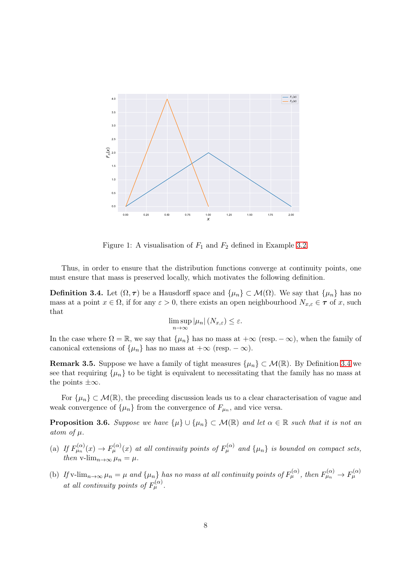

<span id="page-7-0"></span>Figure 1: A visualisation of  $F_1$  and  $F_2$  defined in Example [3.2.](#page-6-0)

<span id="page-7-1"></span>Thus, in order to ensure that the distribution functions converge at continuity points, one must ensure that mass is preserved locally, which motivates the following definition.

**Definition 3.4.** Let  $(\Omega, \tau)$  be a Hausdorff space and  $\{\mu_n\} \subset \mathcal{M}(\Omega)$ . We say that  $\{\mu_n\}$  has no mass at a point  $x \in \Omega$ , if for any  $\varepsilon > 0$ , there exists an open neighbourhood  $N_{x,\varepsilon} \in \tau$  of x, such that

$$
\limsup_{n \to \infty} |\mu_n| (N_{x,\varepsilon}) \le \varepsilon.
$$

In the case where  $\Omega = \mathbb{R}$ , we say that  $\{\mu_n\}$  has no mass at  $+\infty$  (resp.  $-\infty$ ), when the family of canonical extensions of  $\{\mu_n\}$  has no mass at  $+\infty$  (resp.  $-\infty$ ).

**Remark 3.5.** Suppose we have a family of tight measures  $\{\mu_n\} \subset \mathcal{M}(\mathbb{R})$ . By Definition [3.4](#page-7-1) we see that requiring  $\{\mu_n\}$  to be tight is equivalent to necessitating that the family has no mass at the points  $\pm\infty$ .

<span id="page-7-2"></span>For  $\{\mu_n\} \subset \mathcal{M}(\mathbb{R})$ , the preceding discussion leads us to a clear characterisation of vague and weak convergence of  $\{\mu_n\}$  from the convergence of  $F_{\mu_n}$ , and vice versa.

**Proposition 3.6.** Suppose we have  $\{\mu\} \cup \{\mu_n\} \subset \mathcal{M}(\mathbb{R})$  and let  $\alpha \in \mathbb{R}$  such that it is not an atom of  $\mu$ .

- (a) If  $F_{\mu_n}^{(\alpha)}(x) \to F_{\mu}^{(\alpha)}(x)$  at all continuity points of  $F_{\mu}^{(\alpha)}$  and  $\{\mu_n\}$  is bounded on compact sets, then v-lim<sub>n→∞</sub>  $\mu_n = \mu$ .
- (b) If v-lim $_{n\to\infty}$   $\mu_n = \mu$  and  $\{\mu_n\}$  has no mass at all continuity points of  $F_{\mu}^{(\alpha)}$ , then  $F_{\mu_n}^{(\alpha)} \to F_{\mu}^{(\alpha)}$ at all continuity points of  $F_{\mu}^{(\alpha)}$ .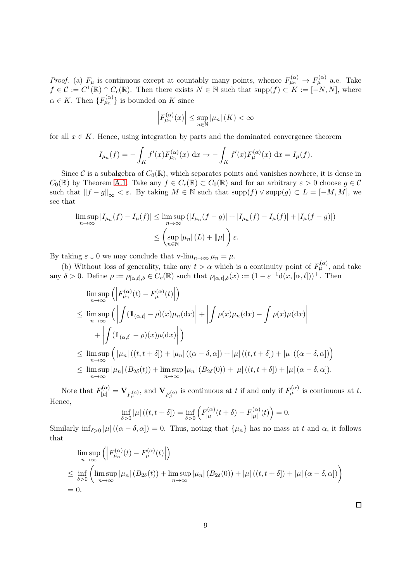*Proof.* (a)  $F_{\mu}$  is continuous except at countably many points, whence  $F_{\mu}^{(\alpha)} \to F_{\mu}^{(\alpha)}$  a.e. Take  $f \in \mathcal{C} := C^1(\mathbb{R}) \cap C_c(\mathbb{R})$ . Then there exists  $N \in \mathbb{N}$  such that  $\text{supp}(f) \subset K := [-N, N]$ , where  $\alpha \in K$ . Then  ${F_{\mu_n}^{(\alpha)}}$  is bounded on K since

$$
\left| F_{\mu_n}^{(\alpha)}(x) \right| \le \sup_{n \in \mathbb{N}} |\mu_n| \left( K \right) < \infty
$$

for all  $x \in K$ . Hence, using integration by parts and the dominated convergence theorem

$$
I_{\mu_n}(f) = -\int_K f'(x) F_{\mu_n}^{(\alpha)}(x) dx \to -\int_K f'(x) F_{\mu}^{(\alpha)}(x) dx = I_{\mu}(f).
$$

Since C is a subalgebra of  $C_0(\mathbb{R})$ , which separates points and vanishes nowhere, it is dense in  $C_0(\mathbb{R})$  by Theorem [A.1.](#page-11-0) Take any  $f \in C_c(\mathbb{R}) \subset C_0(\mathbb{R})$  and for an arbitrary  $\varepsilon > 0$  choose  $g \in \mathcal{C}$ such that  $||f - g||_{\infty} < \varepsilon$ . By taking  $M \in \mathbb{N}$  such that  $\text{supp}(f) \vee \text{supp}(g) \subset L = [-M, M]$ , we see that

$$
\limsup_{n \to \infty} |I_{\mu_n}(f) - I_{\mu}(f)| \le \limsup_{n \to \infty} (|I_{\mu_n}(f - g)| + |I_{\mu_n}(f) - I_{\mu}(f)| + |I_{\mu}(f - g)|)
$$
  

$$
\le \left(\sup_{n \in \mathbb{N}} |\mu_n|(L) + \|\mu\|\right) \varepsilon.
$$

By taking  $\varepsilon \downarrow 0$  we may conclude that v-lim<sub>n→∞</sub>  $\mu_n = \mu$ .

(b) Without loss of generality, take any  $t > \alpha$  which is a continuity point of  $F_{\mu}^{(\alpha)}$ , and take any  $\delta > 0$ . Define  $\rho := \rho_{[\alpha,t],\delta} \in C_c(\mathbb{R})$  such that  $\rho_{[\alpha,t],\delta}(x) := (1 - \varepsilon^{-1} d(x,[\alpha,t]))^+$ . Then

$$
\limsup_{n \to \infty} \left( \left| F_{\mu_n}^{(\alpha)}(t) - F_{\mu}^{(\alpha)}(t) \right| \right)
$$
\n
$$
\leq \limsup_{n \to \infty} \left( \left| \int (1(\alpha, t) - \rho)(x) \mu_n(dx) \right| + \left| \int \rho(x) \mu_n(dx) - \int \rho(x) \mu(dx) \right|
$$
\n
$$
+ \left| \int (1(\alpha, t) - \rho)(x) \mu(dx) \right| \right)
$$
\n
$$
\leq \limsup_{n \to \infty} \left( \left| \mu_n \right| ((t, t + \delta]) + \left| \mu_n \right| ((\alpha - \delta, \alpha]) + \left| \mu \right| ((t, t + \delta]) + \left| \mu \right| ((\alpha - \delta, \alpha]) \right)
$$
\n
$$
\leq \limsup_{n \to \infty} \left| \mu_n \right| (B_{2\delta}(t)) + \limsup_{n \to \infty} \left| \mu_n \right| (B_{2\delta}(0)) + \left| \mu \right| ((t, t + \delta]) + \left| \mu \right| (\alpha - \delta, \alpha]).
$$

Note that  $F_{|\mu|}^{(\alpha)} = \mathbf{V}_{F_{\mu}^{(\alpha)}}$ , and  $\mathbf{V}_{F_{\mu}^{(\alpha)}}$  is continuous at t if and only if  $F_{\mu}^{(\alpha)}$  is continuous at t. Hence,

$$
\inf_{\delta>0}|\mu|\left((t,t+\delta]\right)=\inf_{\delta>0}\left(F_{|\mu|}^{(\alpha)}(t+\delta)-F_{|\mu|}^{(\alpha)}(t)\right)=0.
$$

Similarly  $\inf_{\delta>0} |\mu|((\alpha-\delta,\alpha])=0$ . Thus, noting that  $\{\mu_n\}$  has no mass at t and  $\alpha$ , it follows that

<span id="page-8-0"></span>
$$
\limsup_{n \to \infty} \left( \left| F_{\mu_n}^{(\alpha)}(t) - F_{\mu}^{(\alpha)}(t) \right| \right)
$$
\n
$$
\leq \inf_{\delta > 0} \left( \limsup_{n \to \infty} |\mu_n| \left( B_{2\delta}(t) \right) + \limsup_{n \to \infty} |\mu_n| \left( B_{2\delta}(0) \right) + |\mu| \left( (t, t + \delta \right) + |\mu| \left( \alpha - \delta, \alpha \right] \right) \right)
$$
\n= 0.

9

 $\Box$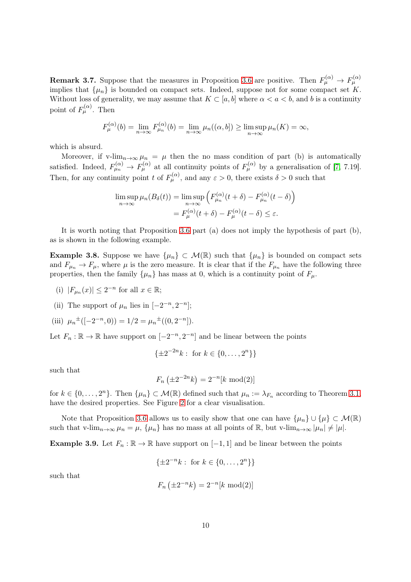**Remark 3.7.** Suppose that the measures in Proposition [3.6](#page-7-2) are positive. Then  $F_{\mu}^{(\alpha)} \to F_{\mu}^{(\alpha)}$ implies that  $\{\mu_n\}$  is bounded on compact sets. Indeed, suppose not for some compact set K. Without loss of generality, we may assume that  $K \subset [a, b]$  where  $\alpha < a < b$ , and b is a continuity point of  $F_{\mu}^{(\alpha)}$ . Then

$$
F_{\mu}^{(\alpha)}(b) = \lim_{n \to \infty} F_{\mu_n}^{(\alpha)}(b) = \lim_{n \to \infty} \mu_n((\alpha, b]) \ge \limsup_{n \to \infty} \mu_n(K) = \infty,
$$

which is absurd.

Moreover, if v-lim<sub>n→∞</sub>  $\mu_n = \mu$  then the no mass condition of part (b) is automatically satisfied. Indeed,  $F_{\mu}^{(\alpha)} \to F_{\mu}^{(\alpha)}$  at all continuity points of  $F_{\mu}^{(\alpha)}$  by a generalisation of [\[7,](#page-14-6) 7.19]. Then, for any continuity point t of  $F_{\mu}^{(\alpha)}$ , and any  $\varepsilon > 0$ , there exists  $\delta > 0$  such that

$$
\limsup_{n \to \infty} \mu_n(B_\delta(t)) = \limsup_{n \to \infty} \left( F_{\mu_n}^{(\alpha)}(t + \delta) - F_{\mu_n}^{(\alpha)}(t - \delta) \right)
$$

$$
= F_{\mu}^{(\alpha)}(t + \delta) - F_{\mu}^{(\alpha)}(t - \delta) \le \varepsilon.
$$

<span id="page-9-0"></span>It is worth noting that Proposition [3.6](#page-7-2) part (a) does not imply the hypothesis of part (b), as is shown in the following example.

**Example 3.8.** Suppose we have  $\{\mu_n\} \subset \mathcal{M}(\mathbb{R})$  such that  $\{\mu_n\}$  is bounded on compact sets and  $F_{\mu_n} \to F_{\mu}$ , where  $\mu$  is the zero measure. It is clear that if the  $F_{\mu_n}$  have the following three properties, then the family  $\{\mu_n\}$  has mass at 0, which is a continuity point of  $F_\mu$ .

- (i)  $|F_{\mu_n}(x)| \leq 2^{-n}$  for all  $x \in \mathbb{R}$ ;
- (ii) The support of  $\mu_n$  lies in  $[-2^{-n}, 2^{-n}]$ ;
- (iii)  $\mu_n^{\pm}([-2^{-n},0)) = 1/2 = \mu_n^{\pm}((0,2^{-n}]).$

Let  $F_n : \mathbb{R} \to \mathbb{R}$  have support on  $[-2^{-n}, 2^{-n}]$  and be linear between the points

$$
\{\pm 2^{-2n}k : \text{ for } k \in \{0, \dots, 2^n\}\}\
$$

such that

$$
F_n(\pm 2^{-2n}k) = 2^{-n}[k \mod{2}]
$$

for  $k \in \{0, \ldots, 2^n\}$ . Then  $\{\mu_n\} \subset \mathcal{M}(\mathbb{R})$  defined such that  $\mu_n := \lambda_{F_n}$  according to Theorem [3.1,](#page-5-3) have the desired properties. See Figure [2](#page-10-0) for a clear visualisation.

<span id="page-9-1"></span>Note that Proposition [3.6](#page-7-2) allows us to easily show that one can have  $\{\mu_n\} \cup \{\mu\} \subset \mathcal{M}(\mathbb{R})$ such that v-lim<sub>n→∞</sub>  $\mu_n = \mu$ ,  $\{\mu_n\}$  has no mass at all points of R, but v-lim<sub>n→∞</sub>  $|\mu_n| \neq |\mu|$ .

**Example 3.9.** Let  $F_n : \mathbb{R} \to \mathbb{R}$  have support on  $[-1, 1]$  and be linear between the points

$$
\{\pm 2^{-n}k : \text{ for } k \in \{0, \dots, 2^n\}\}\
$$

such that

$$
F_n(\pm 2^{-n}k) = 2^{-n}[k \mod{2}]
$$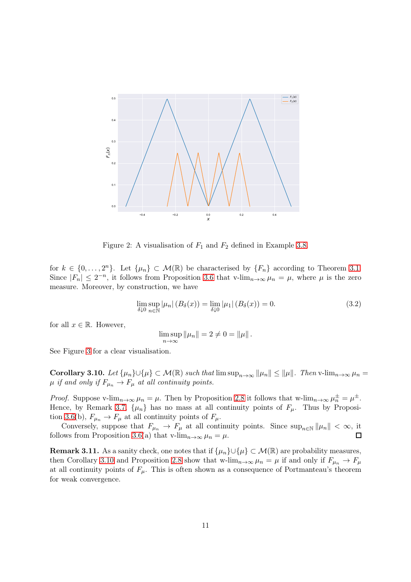

<span id="page-10-0"></span>Figure 2: A visualisation of  $F_1$  and  $F_2$  defined in Example [3.8.](#page-9-0)

for  $k \in \{0, \ldots, 2^n\}$ . Let  $\{\mu_n\} \subset \mathcal{M}(\mathbb{R})$  be characterised by  $\{F_n\}$  according to Theorem [3.1.](#page-5-3) Since  $|F_n| \leq 2^{-n}$ , it follows from Proposition [3.6](#page-7-2) that v-lim<sub>n→∞</sub>  $\mu_n = \mu$ , where  $\mu$  is the zero measure. Moreover, by construction, we have

$$
\lim_{\delta \downarrow 0} \sup_{n \in \mathbb{N}} |\mu_n| \left( B_\delta(x) \right) = \lim_{\delta \downarrow 0} |\mu_1| \left( B_\delta(x) \right) = 0. \tag{3.2}
$$

for all  $x \in \mathbb{R}$ . However,

$$
\limsup_{n\to\infty} \|\mu_n\| = 2 \neq 0 = \|\mu\|.
$$

<span id="page-10-1"></span>See Figure [3](#page-11-3) for a clear visualisation.

Corollary 3.10. Let  $\{\mu_n\}\cup\{\mu\}\subset \mathcal{M}(\mathbb{R})$  such that  $\limsup_{n\to\infty} ||\mu_n|| \leq ||\mu||$ . Then v-lim $_{n\to\infty}$   $\mu_n =$  $\mu$  if and only if  $F_{\mu_n} \to F_{\mu}$  at all continuity points.

*Proof.* Suppose v-lim<sub>n→∞</sub>  $\mu_n = \mu$ . Then by Proposition [2.8](#page-4-3) it follows that w-lim<sub>n→∞</sub>  $\mu_n^{\pm} = \mu^{\pm}$ . Hence, by Remark [3.7,](#page-8-0)  $\{\mu_n\}$  has no mass at all continuity points of  $F_\mu$ . Thus by Proposi-tion [3.6\(](#page-7-2)b),  $F_{\mu_n} \to F_{\mu}$  at all continuity points of  $F_{\mu}$ .

Conversely, suppose that  $F_{\mu_n} \to F_\mu$  at all continuity points. Since  $\sup_{n\in\mathbb{N}} ||\mu_n|| < \infty$ , it follows from Proposition [3.6\(](#page-7-2)a) that v-lim<sub>n→∞</sub>  $\mu_n = \mu$ .  $\Box$ 

**Remark 3.11.** As a sanity check, one notes that if  $\{\mu_n\} \cup \{\mu\} \subset \mathcal{M}(\mathbb{R})$  are probability measures, then Corollary [3.10](#page-10-1) and Proposition [2.8](#page-4-3) show that w-lim<sub>n→∞</sub>  $\mu_n = \mu$  if and only if  $F_{\mu_n} \to F_{\mu}$ at all continuity points of  $F_{\mu}$ . This is often shown as a consequence of Portmanteau's theorem for weak convergence.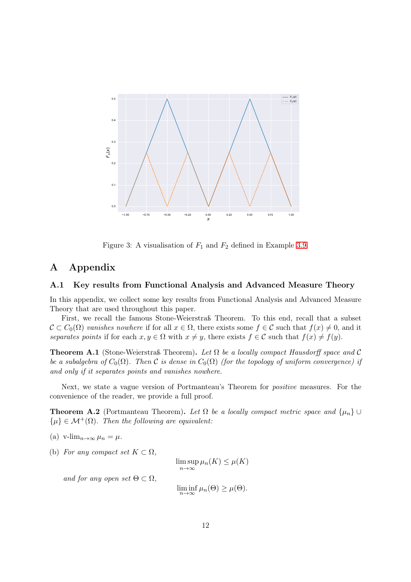

<span id="page-11-3"></span>Figure 3: A visualisation of  $F_1$  and  $F_2$  defined in Example [3.9.](#page-9-1)

### <span id="page-11-1"></span>A Appendix

#### A.1 Key results from Functional Analysis and Advanced Measure Theory

In this appendix, we collect some key results from Functional Analysis and Advanced Measure Theory that are used throughout this paper.

First, we recall the famous Stone-Weierstraß Theorem. To this end, recall that a subset  $\mathcal{C} \subset C_0(\Omega)$  vanishes nowhere if for all  $x \in \Omega$ , there exists some  $f \in \mathcal{C}$  such that  $f(x) \neq 0$ , and it separates points if for each  $x, y \in \Omega$  with  $x \neq y$ , there exists  $f \in \mathcal{C}$  such that  $f(x) \neq f(y)$ .

<span id="page-11-0"></span>**Theorem A.1** (Stone-Weierstraß Theorem). Let  $\Omega$  be a locally compact Hausdorff space and C be a subalgebra of  $C_0(\Omega)$ . Then C is dense in  $C_0(\Omega)$  (for the topology of uniform convergence) if and only if it separates points and vanishes nowhere.

<span id="page-11-2"></span>Next, we state a vague version of Portmanteau's Theorem for positive measures. For the convenience of the reader, we provide a full proof.

**Theorem A.2** (Portmanteau Theorem). Let  $\Omega$  be a locally compact metric space and  $\{\mu_n\} \cup$  $\{\mu\} \in \mathcal{M}^+(\Omega)$ . Then the following are equivalent:

- (a) v-lim<sub>n→∞</sub>  $\mu_n = \mu$ .
- (b) For any compact set  $K \subset \Omega$ ,

 $\limsup_{n\to\infty}\mu_n(K)\leq\mu(K)$ 

and for any open set  $\Theta \subset \Omega$ ,

 $\liminf_{n\to\infty}\mu_n(\Theta)\geq\mu(\Theta).$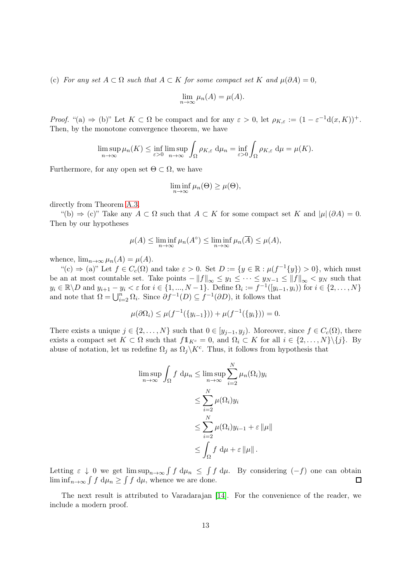(c) For any set  $A \subset \Omega$  such that  $A \subset K$  for some compact set K and  $\mu(\partial A) = 0$ ,

$$
\lim_{n \to \infty} \mu_n(A) = \mu(A).
$$

Proof. "(a)  $\Rightarrow$  (b)" Let  $K \subset \Omega$  be compact and for any  $\varepsilon > 0$ , let  $\rho_{K,\varepsilon} := (1 - \varepsilon^{-1}d(x,K))^+$ . Then, by the monotone convergence theorem, we have

$$
\limsup_{n\to\infty}\mu_n(K)\leq \inf_{\varepsilon>0}\limsup_{n\to\infty}\int_{\Omega}\rho_{K,\varepsilon}\,d\mu_n=\inf_{\varepsilon>0}\int_{\Omega}\rho_{K,\varepsilon}\,d\mu=\mu(K).
$$

Furthermore, for any open set  $\Theta \subset \Omega$ , we have

$$
\liminf_{n\to\infty}\mu_n(\Theta)\geq\mu(\Theta),
$$

directly from Theorem [A.3.](#page-12-0)

"(b)  $\Rightarrow$  (c)" Take any  $A \subset \Omega$  such that  $A \subset K$  for some compact set K and  $|\mu| (\partial A) = 0$ . Then by our hypotheses

$$
\mu(A) \le \liminf_{n \to \infty} \mu_n(A^{\circ}) \le \liminf_{n \to \infty} \mu_n(\overline{A}) \le \mu(A),
$$

whence,  $\lim_{n\to\infty} \mu_n(A) = \mu(A)$ .

 $\mathcal{L}^{\mu}(c) \Rightarrow (a)^{\nu}$  Let  $f \in C_c(\Omega)$  and take  $\varepsilon > 0$ . Set  $D := \{y \in \mathbb{R} : \mu(f^{-1}\{y\}) > 0\}$ , which must be an at most countable set. Take points  $-||f||_{\infty} \leq y_1 \leq \cdots \leq y_{N-1} \leq ||f||_{\infty} < y_N$  such that  $y_i \in \mathbb{R} \backslash D$  and  $y_{i+1} - y_i < \varepsilon$  for  $i \in \{1, ..., N-1\}$ . Define  $\Omega_i := f^{-1}([y_{i-1}, y_i))$  for  $i \in \{2, ..., N\}$ and note that  $\Omega = \bigcup_{i=2}^n \Omega_i$ . Since  $\partial f^{-1}(D) \subseteq f^{-1}(\partial D)$ , it follows that

$$
\mu(\partial \Omega_i) \le \mu(f^{-1}(\{y_{i-1}\})) + \mu(f^{-1}(\{y_i\})) = 0.
$$

There exists a unique  $j \in \{2, ..., N\}$  such that  $0 \in [y_{j-1}, y_j)$ . Moreover, since  $f \in C_c(\Omega)$ , there exists a compact set  $K \subset \Omega$  such that  $f1_{K^c} = 0$ , and  $\Omega_i \subset K$  for all  $i \in \{2, ..., N\} \setminus \{j\}$ . By abuse of notation, let us redefine  $\Omega_j$  as  $\Omega_j \backslash K^c$ . Thus, it follows from hypothesis that

$$
\limsup_{n \to \infty} \int_{\Omega} f d\mu_n \le \limsup_{n \to \infty} \sum_{i=2}^{N} \mu_n(\Omega_i) y_i
$$
  

$$
\le \sum_{i=2}^{N} \mu(\Omega_i) y_i
$$
  

$$
\le \sum_{i=2}^{N} \mu(\Omega_i) y_{i-1} + \varepsilon ||\mu||
$$
  

$$
\le \int_{\Omega} f d\mu + \varepsilon ||\mu||.
$$

Letting  $\varepsilon \downarrow 0$  we get  $\limsup_{n\to\infty} \int f d\mu$ ,  $\leq \int f d\mu$ . By considering  $(-f)$  one can obtain  $\liminf_{n\to\infty} \int f \, d\mu_n \ge \int f \, d\mu$ , whence we are done.  $\Box$ 

<span id="page-12-0"></span>The next result is attributed to Varadarajan [\[14\]](#page-14-13). For the convenience of the reader, we include a modern proof.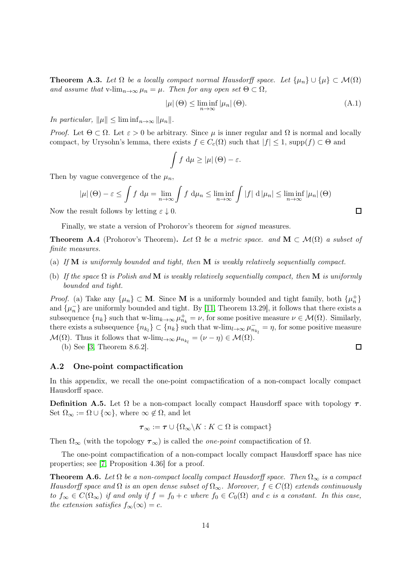**Theorem A.3.** Let  $\Omega$  be a locally compact normal Hausdorff space. Let  $\{\mu_n\} \cup \{\mu\} \subset \mathcal{M}(\Omega)$ and assume that v-lim<sub>n→∞</sub>  $\mu_n = \mu$ . Then for any open set  $\Theta \subset \Omega$ ,

$$
|\mu|(\Theta) \le \liminf_{n \to \infty} |\mu_n|(\Theta). \tag{A.1}
$$

In particular,  $\|\mu\| \leq \liminf_{n\to\infty} \|\mu_n\|.$ 

Proof. Let  $\Theta \subset \Omega$ . Let  $\varepsilon > 0$  be arbitrary. Since  $\mu$  is inner regular and  $\Omega$  is normal and locally compact, by Urysohn's lemma, there exists  $f \in C_c(\Omega)$  such that  $|f| \leq 1$ , supp $(f) \subset \Theta$  and

$$
\int f \, \mathrm{d}\mu \geq |\mu| \, (\Theta) - \varepsilon.
$$

Then by vague convergence of the  $\mu_n$ ,

$$
|\mu|(\Theta) - \varepsilon \le \int f \, d\mu = \lim_{n \to \infty} \int f \, d\mu_n \le \liminf_{n \to \infty} \int |f| \, d|\mu_n| \le \liminf_{n \to \infty} |\mu_n|(\Theta)
$$

Now the result follows by letting  $\varepsilon \downarrow 0$ .

<span id="page-13-0"></span>Finally, we state a version of Prohorov's theorem for signed measures.

**Theorem A.4** (Prohorov's Theorem). Let  $\Omega$  be a metric space. and  $\mathbf{M} \subset \mathcal{M}(\Omega)$  a subset of finite measures.

- (a) If  $M$  is uniformly bounded and tight, then  $M$  is weakly relatively sequentially compact.
- (b) If the space  $\Omega$  is Polish and M is weakly relatively sequentially compact, then M is uniformly bounded and tight.

*Proof.* (a) Take any  $\{\mu_n\} \subset \mathbf{M}$ . Since **M** is a uniformly bounded and tight family, both  $\{\mu_n^+\}$ and  $\{\mu_n^-\}$  are uniformly bounded and tight. By [\[11,](#page-14-9) Theorem 13.29], it follows that there exists a subsequence  $\{n_k\}$  such that w-lim $_{k\to\infty}$   $\mu_{n_k}^+ = \nu$ , for some positive measure  $\nu \in \mathcal{M}(\Omega)$ . Similarly, there exists a subsequence  $\{n_{k_l}\}\subset \{n_k\}$  such that w-lim<sub>l→∞</sub>  $\mu_{n_{k_l}}^-=\eta$ , for some positive measure  $\mathcal{M}(\Omega)$ . Thus it follows that w-lim<sub>l→∞</sub>  $\mu_{n_{k_l}} = (\nu - \eta) \in \mathcal{M}(\Omega)$ .

(b) See [\[3,](#page-14-8) Theorem 8.6.2].

#### A.2 One-point compactification

<span id="page-13-1"></span>In this appendix, we recall the one-point compactification of a non-compact locally compact Hausdorff space.

Definition A.5. Let  $\Omega$  be a non-compact locally compact Hausdorff space with topology  $\tau$ . Set  $\Omega_{\infty} := \Omega \cup \{\infty\}$ , where  $\infty \notin \Omega$ , and let

$$
\tau_{\infty} := \tau \cup \{ \Omega_{\infty} \backslash K : K \subset \Omega \text{ is compact} \}
$$

Then  $\Omega_{\infty}$  (with the topology  $\tau_{\infty}$ ) is called the *one-point* compactification of  $\Omega$ .

<span id="page-13-2"></span>The one-point compactification of a non-compact locally compact Hausdorff space has nice properties; see [\[7,](#page-14-6) Proposition 4.36] for a proof.

**Theorem A.6.** Let  $\Omega$  be a non-compact locally compact Hausdorff space. Then  $\Omega_{\infty}$  is a compact Hausdorff space and  $\Omega$  is an open dense subset of  $\Omega_{\infty}$ . Moreover,  $f \in C(\Omega)$  extends continuously to  $f_{\infty} \in C(\Omega_{\infty})$  if and only if  $f = f_0 + c$  where  $f_0 \in C_0(\Omega)$  and c is a constant. In this case, the extension satisfies  $f_{\infty}(\infty) = c$ .

 $\Box$ 

 $\Box$